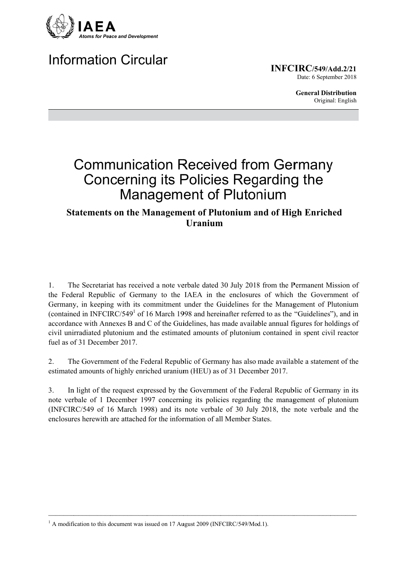

# **Information Circular**

**INFCIRC/549/Add.2/21** Date: 6 September 2018

> **General Distribution** Original: English

# **Communication Received from Germany Concerning its Policies Regarding the Management of Plutonium**

# **Statements on the Management of Plutonium and of High Enriched Uranium**

The Secretariat has received a note verbale dated 30 July 2018 from the Permanent Mission of  $\mathbf{1}$ . the Federal Republic of Germany to the IAEA in the enclosures of which the Government of Germany, in keeping with its commitment under the Guidelines for the Management of Plutonium (contained in INFCIRC/549<sup>1</sup> of 16 March 1998 and hereinafter referred to as the "Guidelines"), and in accordance with Annexes B and C of the Guidelines, has made available annual figures for holdings of civil unirradiated plutonium and the estimated amounts of plutonium contained in spent civil reactor fuel as of 31 December 2017.

 $2.$ The Government of the Federal Republic of Germany has also made available a statement of the estimated amounts of highly enriched uranium (HEU) as of 31 December 2017.

 $3<sub>1</sub>$ In light of the request expressed by the Government of the Federal Republic of Germany in its note verbale of 1 December 1997 concerning its policies regarding the management of plutonium (INFCIRC/549 of 16 March 1998) and its note verbale of 30 July 2018, the note verbale and the enclosures herewith are attached for the information of all Member States.

 $1$  A modification to this document was issued on 17 August 2009 (INFCIRC/549/Mod.1).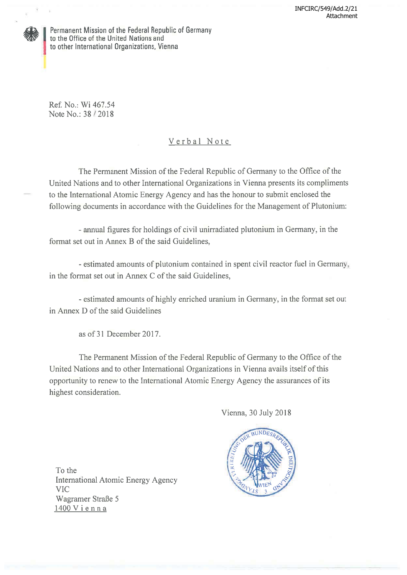

Permanent Mission of the Federal Republic of Germany to the Office of the United Nations and to other International Organizations, Vienna

Ref. No.: Wi 467.54 Note No.: 38 / 2018

# Verbal Note

The Permanent Mission of the Federal Republic of Germany to the Office of the United Nations and to other International Organizations in Vienna presents its compliments to the International Atomic Energy Agency and has the honour to submit enclosed the following documents in accordance with the Guidelines for the Management of Plutonium:

- annual figures for holdings of civil unirradiated plutonium in Germany, in the format set out in Annex B of the said Guidelines.

- estimated amounts of plutonium contained in spent civil reactor fuel in Germany, in the format set out in Annex C of the said Guidelines,

- estimated amounts of highly enriched uranium in Germany, in the format set out in Annex D of the said Guidelines

as of 31 December 2017.

The Permanent Mission of the Federal Republic of Germany to the Office of the United Nations and to other International Organizations in Vienna avails itself of this opportunity to renew to the International Atomic Energy Agency the assurances of its highest consideration.

Vienna, 30 July 2018



To the **International Atomic Energy Agency VIC** Wagramer Straße 5 1400 Vienna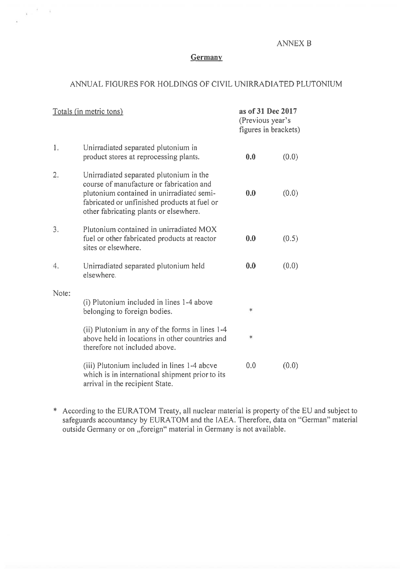## **ANNEX B**

#### Germany

 $\mathbf{x} = \frac{2}{3} - \mathbf{x}$ 

### ANNUAL FIGURES FOR HOLDINGS OF CIVIL UNIRRADIATED PLUTONIUM

| Totals (in metric tons) |                                                                                                                                                                                                                            | as of 31 Dec 2017<br>(Previous year's<br>figures in brackets) |       |
|-------------------------|----------------------------------------------------------------------------------------------------------------------------------------------------------------------------------------------------------------------------|---------------------------------------------------------------|-------|
| 1.                      | Unirradiated separated plutonium in<br>product stores at reprocessing plants.                                                                                                                                              | 0.0                                                           | (0.0) |
| 2.                      | Unirradiated separated plutonium in the<br>course of manufacture or fabrication and<br>plutonium contained in unirradiated semi-<br>fabricated or unfinished products at fuel or<br>other fabricating plants or elsewhere. | 0.0                                                           | (0.0) |
| 3.                      | Plutonium contained in unirradiated MOX<br>fuel or other fabricated products at reactor<br>sites or elsewhere.                                                                                                             | 0.0                                                           | (0.5) |
| 4.                      | Unirradiated separated plutonium held<br>elsewhere.                                                                                                                                                                        | 0.0                                                           | (0.0) |
| Note:                   | (i) Plutonium included in lines 1-4 above<br>belonging to foreign bodies.                                                                                                                                                  | *                                                             |       |
|                         | (ii) Plutonium in any of the forms in lines 1-4<br>above held in locations in other countries and<br>therefore not included above.                                                                                         | *                                                             |       |
|                         | (iii) Plutonium included in lines 1-4 above<br>which is in international shipment prior to its<br>arrival in the recipient State.                                                                                          | 0.0                                                           | (0.0) |

\* According to the EURATOM Treaty, all nuclear material is property of the EU and subject to safeguards accountancy by EURATOM and the IAEA. Therefore, data on "German" material outside Germany or on "foreign" material in Germany is not available.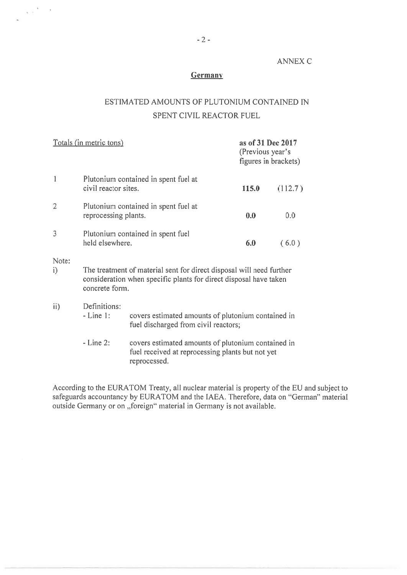#### **ANNEX C**

#### Germany

# ESTIMATED AMOUNTS OF PLUTONIUM CONTAINED IN SPENT CIVIL REACTOR FUEL

| <u>Totals (in metric tons)</u> |                                                                                                                                                             |                                                                                            | as of 31 Dec 2017<br>(Previous year's<br>figures in brackets) |         |  |  |
|--------------------------------|-------------------------------------------------------------------------------------------------------------------------------------------------------------|--------------------------------------------------------------------------------------------|---------------------------------------------------------------|---------|--|--|
| $\mathbf{1}$                   | civil reactor sites.                                                                                                                                        | Plutonium contained in spent fuel at                                                       | <b>115.0</b>                                                  | (112.7) |  |  |
| $\overline{2}$                 | Plutonium contained in spent fuel at<br>reprocessing plants.                                                                                                |                                                                                            | 0.0                                                           | 0.0     |  |  |
| 3                              | Plutonium contained in spent fuel<br>held elsewhere.                                                                                                        |                                                                                            | 6.0                                                           | (6.0)   |  |  |
| Note:<br>i)                    | The treatment of material sent for direct disposal will need further<br>consideration when specific plants for direct disposal have taken<br>concrete form. |                                                                                            |                                                               |         |  |  |
| $\mathbf{ii}$                  | Definitions:<br>$-Line 1:$                                                                                                                                  | covers estimated amounts of plutonium contained in<br>fuel discharged from civil reactors; |                                                               |         |  |  |
|                                | $-Line 2$ :<br>covers estimated amounts of plutonium contained in<br>fuel received at reprocessing plants but not yet                                       |                                                                                            |                                                               |         |  |  |

reprocessed.

According to the EURATOM Treaty, all nuclear material is property of the EU and subject to safeguards accountancy by EURATOM and the IAEA. Therefore, data on "German" material outside Germany or on "foreign" material in Ge

 $\frac{1}{3}$  ,  $\frac{1}{3}$